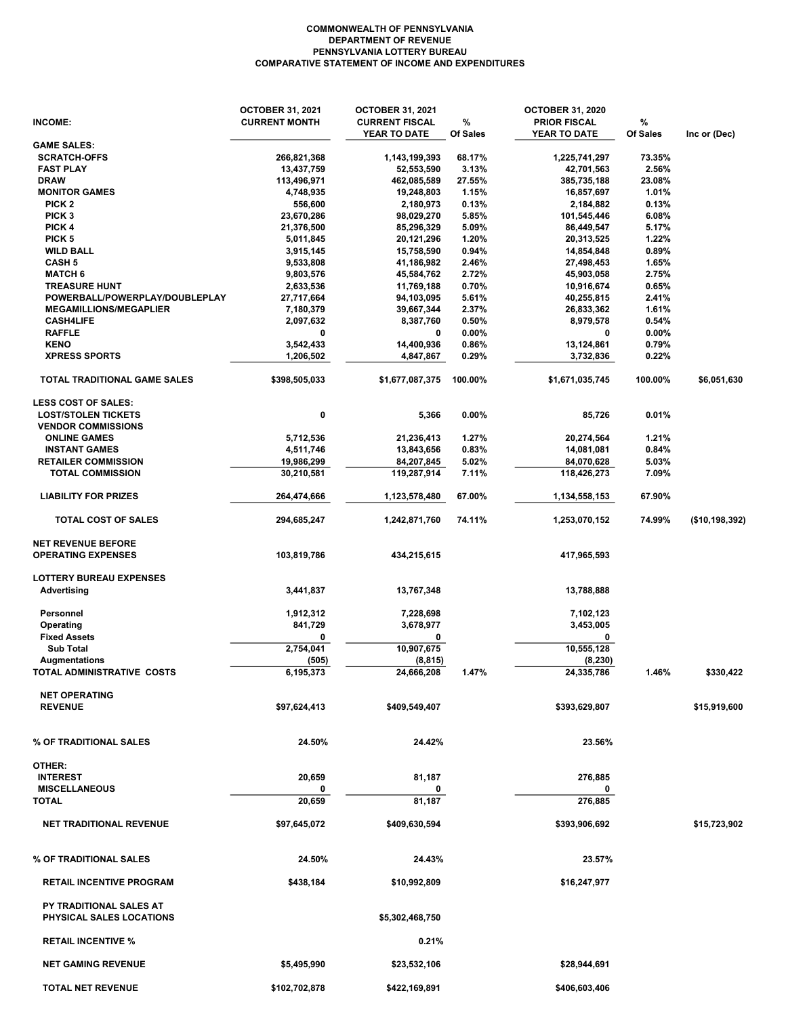## COMMONWEALTH OF PENNSYLVANIA DEPARTMENT OF REVENUE PENNSYLVANIA LOTTERY BUREAU COMPARATIVE STATEMENT OF INCOME AND EXPENDITURES

|                                  | <b>OCTOBER 31, 2021</b> | <b>OCTOBER 31, 2021</b>               |               | <b>OCTOBER 31, 2020</b>             |               |                |
|----------------------------------|-------------------------|---------------------------------------|---------------|-------------------------------------|---------------|----------------|
| <b>INCOME:</b>                   | <b>CURRENT MONTH</b>    | <b>CURRENT FISCAL</b><br>YEAR TO DATE | %<br>Of Sales | <b>PRIOR FISCAL</b><br>YEAR TO DATE | %<br>Of Sales | Inc or (Dec)   |
| <b>GAME SALES:</b>               |                         |                                       |               |                                     |               |                |
| <b>SCRATCH-OFFS</b>              | 266,821,368             | 1,143,199,393                         | 68.17%        | 1,225,741,297                       | 73.35%        |                |
| <b>FAST PLAY</b>                 | 13,437,759              | 52,553,590                            | 3.13%         | 42,701,563                          | 2.56%         |                |
| <b>DRAW</b>                      | 113,496,971             | 462,085,589                           | 27.55%        | 385,735,188                         | 23.08%        |                |
| <b>MONITOR GAMES</b>             | 4,748,935               | 19,248,803                            | 1.15%         | 16,857,697                          | 1.01%         |                |
| PICK <sub>2</sub>                | 556,600                 | 2,180,973                             | 0.13%         | 2,184,882                           | 0.13%         |                |
| PICK <sub>3</sub>                | 23,670,286              | 98,029,270                            | 5.85%         | 101,545,446                         | 6.08%         |                |
| PICK 4                           | 21,376,500              | 85,296,329                            | 5.09%         | 86,449,547                          | 5.17%         |                |
| PICK <sub>5</sub>                | 5,011,845               | 20,121,296                            | 1.20%         | 20,313,525                          | 1.22%         |                |
| <b>WILD BALL</b>                 | 3,915,145               | 15,758,590                            | 0.94%         | 14,854,848                          | 0.89%         |                |
| <b>CASH 5</b>                    | 9,533,808               | 41,186,982                            | 2.46%         | 27,498,453                          | 1.65%         |                |
| <b>MATCH 6</b>                   | 9,803,576               | 45,584,762                            | 2.72%         | 45,903,058                          | 2.75%         |                |
| <b>TREASURE HUNT</b>             | 2,633,536               | 11,769,188                            | 0.70%         | 10,916,674                          | 0.65%         |                |
| POWERBALL/POWERPLAY/DOUBLEPLAY   | 27,717,664              | 94,103,095                            | 5.61%         | 40,255,815                          | 2.41%         |                |
| <b>MEGAMILLIONS/MEGAPLIER</b>    | 7,180,379               | 39,667,344                            | 2.37%         | 26,833,362                          | 1.61%         |                |
| <b>CASH4LIFE</b>                 | 2,097,632               | 8,387,760                             | 0.50%         | 8,979,578                           | 0.54%         |                |
| <b>RAFFLE</b>                    | 0                       | 0                                     | 0.00%         | 0                                   | 0.00%         |                |
| <b>KENO</b>                      | 3,542,433               | 14,400,936                            | 0.86%         | 13,124,861                          | 0.79%         |                |
| <b>XPRESS SPORTS</b>             | 1,206,502               | 4,847,867                             | 0.29%         | 3,732,836                           | 0.22%         |                |
| TOTAL TRADITIONAL GAME SALES     | \$398,505,033           | \$1,677,087,375                       | 100.00%       | \$1,671,035,745                     | 100.00%       | \$6,051,630    |
| <b>LESS COST OF SALES:</b>       |                         |                                       |               |                                     |               |                |
| <b>LOST/STOLEN TICKETS</b>       | 0                       | 5,366                                 | 0.00%         | 85,726                              | 0.01%         |                |
| <b>VENDOR COMMISSIONS</b>        |                         |                                       |               |                                     |               |                |
| <b>ONLINE GAMES</b>              | 5,712,536               | 21,236,413                            | 1.27%         | 20,274,564                          | 1.21%         |                |
| <b>INSTANT GAMES</b>             | 4,511,746               | 13,843,656                            | 0.83%         | 14,081,081                          | 0.84%         |                |
| <b>RETAILER COMMISSION</b>       | 19,986,299              | 84,207,845                            | 5.02%         | 84,070,628                          | 5.03%         |                |
| <b>TOTAL COMMISSION</b>          | 30,210,581              | 119,287,914                           | 7.11%         | 118,426,273                         | 7.09%         |                |
|                                  |                         |                                       |               |                                     |               |                |
| <b>LIABILITY FOR PRIZES</b>      | 264,474,666             | 1,123,578,480                         | 67.00%        | 1,134,558,153                       | 67.90%        |                |
| <b>TOTAL COST OF SALES</b>       | 294,685,247             | 1,242,871,760                         | 74.11%        | 1,253,070,152                       | 74.99%        | (\$10,198,392) |
| <b>NET REVENUE BEFORE</b>        |                         |                                       |               |                                     |               |                |
| <b>OPERATING EXPENSES</b>        | 103,819,786             | 434,215,615                           |               | 417,965,593                         |               |                |
|                                  |                         |                                       |               |                                     |               |                |
| <b>LOTTERY BUREAU EXPENSES</b>   |                         |                                       |               |                                     |               |                |
| Advertising                      | 3,441,837               | 13,767,348                            |               | 13,788,888                          |               |                |
| Personnel                        | 1,912,312               |                                       |               |                                     |               |                |
|                                  | 841,729                 | 7,228,698                             |               | 7,102,123                           |               |                |
| Operating<br><b>Fixed Assets</b> | 0                       | 3,678,977<br>0                        |               | 3,453,005<br>0                      |               |                |
| <b>Sub Total</b>                 | 2,754,041               | 10,907,675                            |               | 10,555,128                          |               |                |
|                                  |                         |                                       |               |                                     |               |                |
| <b>Augmentations</b>             | (505)                   | (8, 815)                              |               | (8, 230)                            |               |                |
| TOTAL ADMINISTRATIVE COSTS       | 6,195,373               | 24,666,208                            | 1.47%         | 24,335,786                          | 1.46%         | \$330,422      |
| <b>NET OPERATING</b>             |                         |                                       |               |                                     |               |                |
| <b>REVENUE</b>                   | \$97,624,413            | \$409,549,407                         |               | \$393,629,807                       |               | \$15,919,600   |
|                                  |                         |                                       |               |                                     |               |                |
|                                  |                         |                                       |               |                                     |               |                |
| % OF TRADITIONAL SALES           | 24.50%                  | 24.42%                                |               | 23.56%                              |               |                |
|                                  |                         |                                       |               |                                     |               |                |
| OTHER:                           |                         |                                       |               |                                     |               |                |
| <b>INTEREST</b>                  | 20,659                  | 81,187                                |               | 276,885                             |               |                |
| <b>MISCELLANEOUS</b>             | 0                       | 0                                     |               | 0                                   |               |                |
| <b>TOTAL</b>                     | 20,659                  | 81,187                                |               | 276,885                             |               |                |
| <b>NET TRADITIONAL REVENUE</b>   | \$97,645,072            | \$409,630,594                         |               | \$393,906,692                       |               | \$15,723,902   |
|                                  |                         |                                       |               |                                     |               |                |
| % OF TRADITIONAL SALES           | 24.50%                  | 24.43%                                |               | 23.57%                              |               |                |
|                                  |                         |                                       |               |                                     |               |                |
| <b>RETAIL INCENTIVE PROGRAM</b>  | \$438,184               | \$10,992,809                          |               | \$16,247,977                        |               |                |
| PY TRADITIONAL SALES AT          |                         |                                       |               |                                     |               |                |
| <b>PHYSICAL SALES LOCATIONS</b>  |                         | \$5,302,468,750                       |               |                                     |               |                |
|                                  |                         |                                       |               |                                     |               |                |
| <b>RETAIL INCENTIVE %</b>        |                         | 0.21%                                 |               |                                     |               |                |
| <b>NET GAMING REVENUE</b>        |                         |                                       |               |                                     |               |                |
|                                  | \$5,495,990             | \$23,532,106                          |               | \$28,944,691                        |               |                |
| TOTAL NET REVENUE                | \$102,702,878           | \$422,169,891                         |               | \$406,603,406                       |               |                |